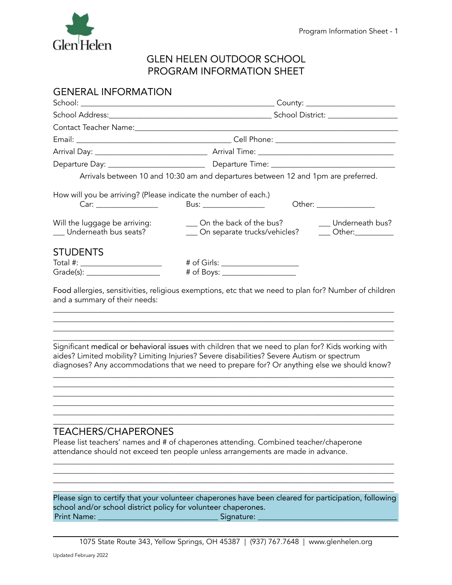

# GLEN HELEN OUTDOOR SCHOOL PROGRAM INFORMATION SHEET

| Arrivals between 10 and 10:30 am and departures between 12 and 1pm are preferred.                                                                                                                                                                                                               |
|-------------------------------------------------------------------------------------------------------------------------------------------------------------------------------------------------------------------------------------------------------------------------------------------------|
| How will you be arriving? (Please indicate the number of each.)<br>Bus: ____________________                                                                                                                                                                                                    |
| ___ On the back of the bus?<br>__ Underneath bus?<br>__ On separate trucks/vehicles?<br>$\frac{1}{2}$ Other:                                                                                                                                                                                    |
|                                                                                                                                                                                                                                                                                                 |
| # of Girls: ______________________                                                                                                                                                                                                                                                              |
| # of Boys: ______________________                                                                                                                                                                                                                                                               |
| Food allergies, sensitivities, religious exemptions, etc that we need to plan for? Number of children                                                                                                                                                                                           |
| Significant medical or behavioral issues with children that we need to plan for? Kids working with<br>aides? Limited mobility? Limiting Injuries? Severe disabilities? Severe Autism or spectrum<br>diagnoses? Any accommodations that we need to prepare for? Or anything else we should know? |
| <b>TEACHERS/CHAPERONES</b><br>Please list teachers' names and # of chaperones attending. Combined teacher/chaperone<br>attendance should not exceed ten people unless arrangements are made in advance.                                                                                         |
|                                                                                                                                                                                                                                                                                                 |

Please sign to certify that your volunteer chaperones have been cleared for participation, following school and/or school district policy for volunteer chaperones. Print Name:

 $\overline{\phantom{a}}$  , and the contribution of the contribution of the contribution of the contribution of the contribution of the contribution of the contribution of the contribution of the contribution of the contribution of the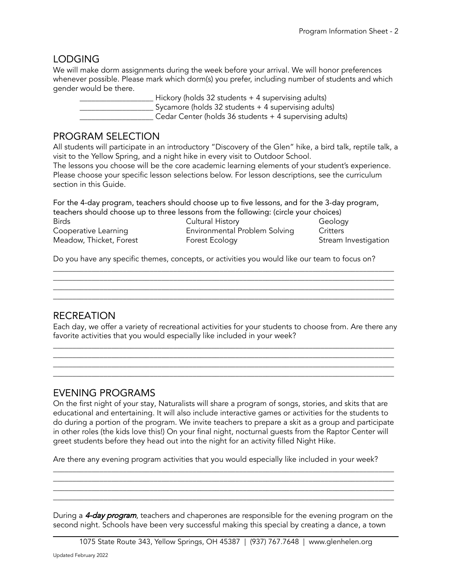## LODGING

We will make dorm assignments during the week before your arrival. We will honor preferences whenever possible. Please mark which dorm(s) you prefer, including number of students and which gender would be there.

\_\_\_\_\_\_\_\_\_\_\_\_\_\_\_\_\_\_\_ Hickory (holds 32 students + 4 supervising adults) \_\_\_\_\_\_\_\_\_\_\_\_\_\_\_\_\_\_\_ Sycamore (holds 32 students + 4 supervising adults) \_\_\_\_\_\_\_\_\_\_\_\_\_\_\_\_\_\_\_ Cedar Center (holds 36 students + 4 supervising adults)

#### PROGRAM SELECTION

All students will participate in an introductory "Discovery of the Glen" hike, a bird talk, reptile talk, a visit to the Yellow Spring, and a night hike in every visit to Outdoor School.

The lessons you choose will be the core academic learning elements of your student's experience. Please choose your specific lesson selections below. For lesson descriptions, see the curriculum section in this Guide.

| For the 4-day program, teachers should choose up to five lessons, and for the 3-day program, |                               |                      |  |
|----------------------------------------------------------------------------------------------|-------------------------------|----------------------|--|
| teachers should choose up to three lessons from the following: (circle your choices)         |                               |                      |  |
| <b>Birds</b>                                                                                 | Cultural History              | Geology              |  |
| Cooperative Learning                                                                         | Environmental Problem Solving | Critters             |  |
| Meadow, Thicket, Forest                                                                      | Forest Ecology                | Stream Investigation |  |

Do you have any specific themes, concepts, or activities you would like our team to focus on?

## RECREATION

Each day, we offer a variety of recreational activities for your students to choose from. Are there any favorite activities that you would especially like included in your week?

 $\overline{\phantom{a}}$  , and the contribution of the contribution of the contribution of the contribution of the contribution of the contribution of the contribution of the contribution of the contribution of the contribution of the  $\overline{\phantom{a}}$  , and the contribution of the contribution of the contribution of the contribution of the contribution of the contribution of the contribution of the contribution of the contribution of the contribution of the  $\Box$ 

 $\Box$ 

 $\overline{a_1}$  ,  $\overline{a_2}$  ,  $\overline{a_3}$  ,  $\overline{a_4}$  ,  $\overline{a_5}$  ,  $\overline{a_6}$  ,  $\overline{a_7}$  ,  $\overline{a_8}$  ,  $\overline{a_9}$  ,  $\overline{a_9}$  ,  $\overline{a_9}$  ,  $\overline{a_9}$  ,  $\overline{a_9}$  ,  $\overline{a_9}$  ,  $\overline{a_9}$  ,  $\overline{a_9}$  ,  $\overline{a_9}$  ,

\_\_\_\_\_\_\_\_\_\_\_\_\_\_\_\_\_\_\_\_\_\_\_\_\_\_\_\_\_\_\_\_\_\_\_\_\_\_\_\_\_\_\_\_\_\_\_\_\_\_\_\_\_\_\_\_\_\_\_\_\_\_\_\_\_\_\_\_\_\_\_\_\_\_\_\_\_\_\_\_\_\_\_\_\_\_\_\_

#### EVENING PROGRAMS

On the first night of your stay, Naturalists will share a program of songs, stories, and skits that are educational and entertaining. It will also include interactive games or activities for the students to do during a portion of the program. We invite teachers to prepare a skit as a group and participate in other roles (the kids love this!) On your final night, nocturnal guests from the Raptor Center will greet students before they head out into the night for an activity filled Night Hike.

\_\_\_\_\_\_\_\_\_\_\_\_\_\_\_\_\_\_\_\_\_\_\_\_\_\_\_\_\_\_\_\_\_\_\_\_\_\_\_\_\_\_\_\_\_\_\_\_\_\_\_\_\_\_\_\_\_\_\_\_\_\_\_\_\_\_\_\_\_\_\_\_\_\_\_\_\_\_\_\_\_\_\_\_\_\_\_\_

Are there any evening program activities that you would especially like included in your week?

During a 4-day program, teachers and chaperones are responsible for the evening program on the second night. Schools have been very successful making this special by creating a dance, a town

 $\overline{\phantom{a}}$  , and the contribution of the contribution of the contribution of the contribution of the contribution of the contribution of the contribution of the contribution of the contribution of the contribution of the  $\overline{\phantom{a}}$  , and the contribution of the contribution of the contribution of the contribution of the contribution of the contribution of the contribution of the contribution of the contribution of the contribution of the